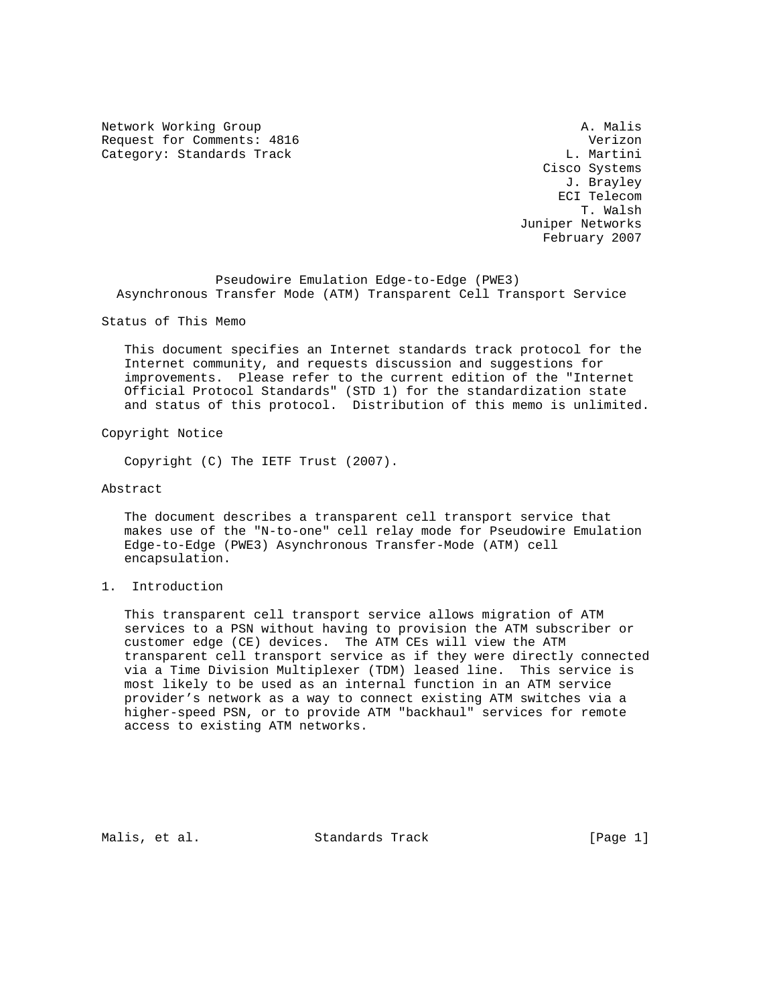Network Working Group and the set of the set of the set of the set of the set of the set of the set of the set of the set of the set of the set of the set of the set of the set of the set of the set of the set of the set o Request for Comments: 4816 Verizon Category: Standards Track

 Cisco Systems J. Brayley ECI Telecom T. Walsh Juniper Networks February 2007

 Pseudowire Emulation Edge-to-Edge (PWE3) Asynchronous Transfer Mode (ATM) Transparent Cell Transport Service

Status of This Memo

 This document specifies an Internet standards track protocol for the Internet community, and requests discussion and suggestions for improvements. Please refer to the current edition of the "Internet Official Protocol Standards" (STD 1) for the standardization state and status of this protocol. Distribution of this memo is unlimited.

Copyright Notice

Copyright (C) The IETF Trust (2007).

Abstract

 The document describes a transparent cell transport service that makes use of the "N-to-one" cell relay mode for Pseudowire Emulation Edge-to-Edge (PWE3) Asynchronous Transfer-Mode (ATM) cell encapsulation.

## 1. Introduction

 This transparent cell transport service allows migration of ATM services to a PSN without having to provision the ATM subscriber or customer edge (CE) devices. The ATM CEs will view the ATM transparent cell transport service as if they were directly connected via a Time Division Multiplexer (TDM) leased line. This service is most likely to be used as an internal function in an ATM service provider's network as a way to connect existing ATM switches via a higher-speed PSN, or to provide ATM "backhaul" services for remote access to existing ATM networks.

Malis, et al. Standards Track [Page 1]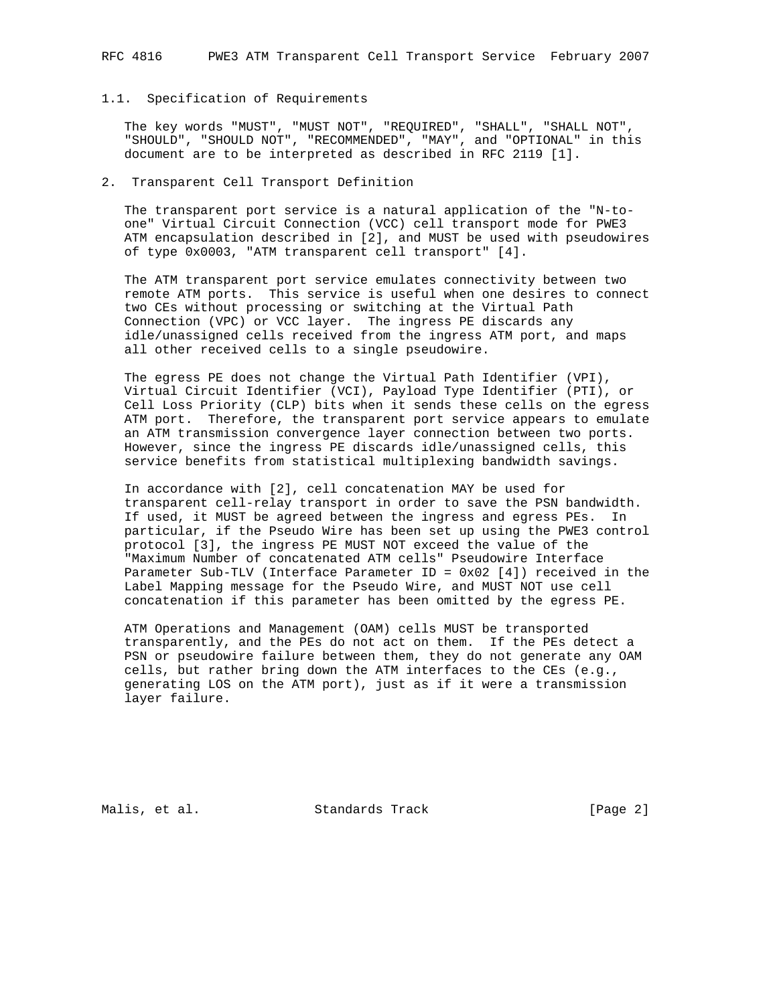## 1.1. Specification of Requirements

 The key words "MUST", "MUST NOT", "REQUIRED", "SHALL", "SHALL NOT", "SHOULD", "SHOULD NOT", "RECOMMENDED", "MAY", and "OPTIONAL" in this document are to be interpreted as described in RFC 2119 [1].

## 2. Transparent Cell Transport Definition

 The transparent port service is a natural application of the "N-to one" Virtual Circuit Connection (VCC) cell transport mode for PWE3 ATM encapsulation described in [2], and MUST be used with pseudowires of type 0x0003, "ATM transparent cell transport" [4].

 The ATM transparent port service emulates connectivity between two remote ATM ports. This service is useful when one desires to connect two CEs without processing or switching at the Virtual Path Connection (VPC) or VCC layer. The ingress PE discards any idle/unassigned cells received from the ingress ATM port, and maps all other received cells to a single pseudowire.

 The egress PE does not change the Virtual Path Identifier (VPI), Virtual Circuit Identifier (VCI), Payload Type Identifier (PTI), or Cell Loss Priority (CLP) bits when it sends these cells on the egress ATM port. Therefore, the transparent port service appears to emulate an ATM transmission convergence layer connection between two ports. However, since the ingress PE discards idle/unassigned cells, this service benefits from statistical multiplexing bandwidth savings.

 In accordance with [2], cell concatenation MAY be used for transparent cell-relay transport in order to save the PSN bandwidth. If used, it MUST be agreed between the ingress and egress PEs. In particular, if the Pseudo Wire has been set up using the PWE3 control protocol [3], the ingress PE MUST NOT exceed the value of the "Maximum Number of concatenated ATM cells" Pseudowire Interface Parameter Sub-TLV (Interface Parameter ID = 0x02 [4]) received in the Label Mapping message for the Pseudo Wire, and MUST NOT use cell concatenation if this parameter has been omitted by the egress PE.

 ATM Operations and Management (OAM) cells MUST be transported transparently, and the PEs do not act on them. If the PEs detect a PSN or pseudowire failure between them, they do not generate any OAM cells, but rather bring down the ATM interfaces to the CEs (e.g., generating LOS on the ATM port), just as if it were a transmission layer failure.

Malis, et al. Standards Track [Page 2]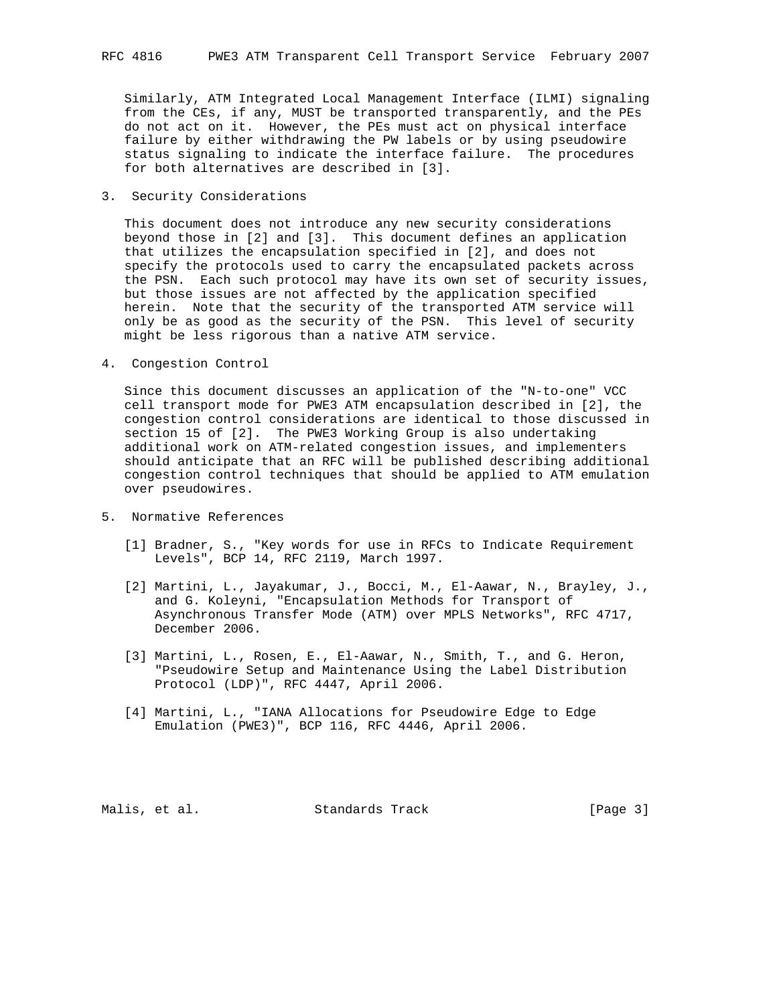Similarly, ATM Integrated Local Management Interface (ILMI) signaling from the CEs, if any, MUST be transported transparently, and the PEs do not act on it. However, the PEs must act on physical interface failure by either withdrawing the PW labels or by using pseudowire status signaling to indicate the interface failure. The procedures for both alternatives are described in [3].

3. Security Considerations

 This document does not introduce any new security considerations beyond those in [2] and [3]. This document defines an application that utilizes the encapsulation specified in [2], and does not specify the protocols used to carry the encapsulated packets across the PSN. Each such protocol may have its own set of security issues, but those issues are not affected by the application specified herein. Note that the security of the transported ATM service will only be as good as the security of the PSN. This level of security might be less rigorous than a native ATM service.

4. Congestion Control

 Since this document discusses an application of the "N-to-one" VCC cell transport mode for PWE3 ATM encapsulation described in [2], the congestion control considerations are identical to those discussed in section 15 of [2]. The PWE3 Working Group is also undertaking additional work on ATM-related congestion issues, and implementers should anticipate that an RFC will be published describing additional congestion control techniques that should be applied to ATM emulation over pseudowires.

- 5. Normative References
	- [1] Bradner, S., "Key words for use in RFCs to Indicate Requirement Levels", BCP 14, RFC 2119, March 1997.
	- [2] Martini, L., Jayakumar, J., Bocci, M., El-Aawar, N., Brayley, J., and G. Koleyni, "Encapsulation Methods for Transport of Asynchronous Transfer Mode (ATM) over MPLS Networks", RFC 4717, December 2006.
	- [3] Martini, L., Rosen, E., El-Aawar, N., Smith, T., and G. Heron, "Pseudowire Setup and Maintenance Using the Label Distribution Protocol (LDP)", RFC 4447, April 2006.
	- [4] Martini, L., "IANA Allocations for Pseudowire Edge to Edge Emulation (PWE3)", BCP 116, RFC 4446, April 2006.

Malis, et al. Standards Track [Page 3]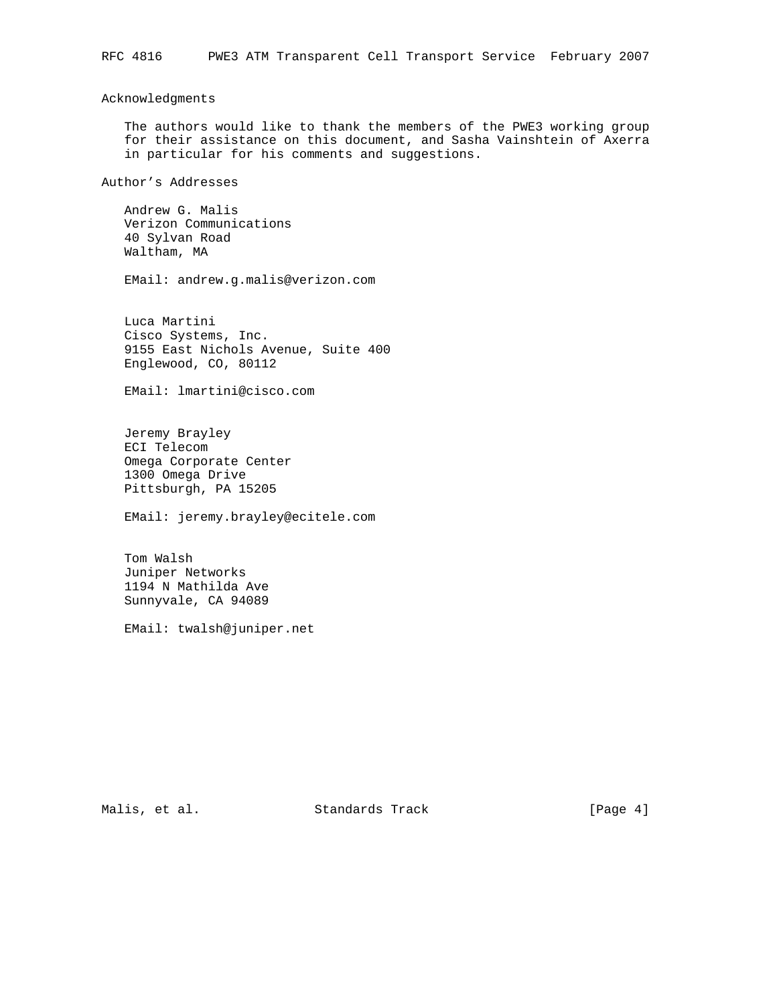## Acknowledgments

 The authors would like to thank the members of the PWE3 working group for their assistance on this document, and Sasha Vainshtein of Axerra in particular for his comments and suggestions.

Author's Addresses

 Andrew G. Malis Verizon Communications 40 Sylvan Road Waltham, MA

EMail: andrew.g.malis@verizon.com

 Luca Martini Cisco Systems, Inc. 9155 East Nichols Avenue, Suite 400 Englewood, CO, 80112

EMail: lmartini@cisco.com

 Jeremy Brayley ECI Telecom Omega Corporate Center 1300 Omega Drive Pittsburgh, PA 15205

EMail: jeremy.brayley@ecitele.com

 Tom Walsh Juniper Networks 1194 N Mathilda Ave Sunnyvale, CA 94089

EMail: twalsh@juniper.net

Malis, et al. Standards Track [Page 4]